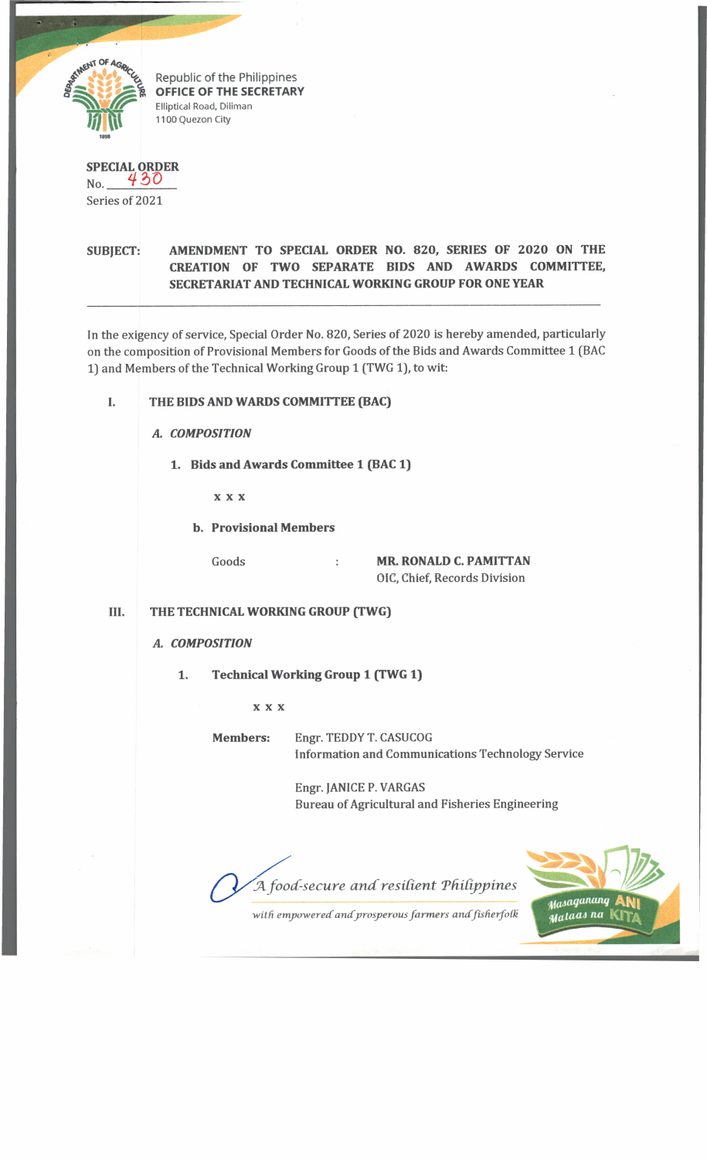

Republic of the Philippines **OFFICE OF THE SECRETARY Elliptical Road, Diliman 1100 Quezon City**

#### **SPECIAL ORDER**  $_{\text{No.}}$  430

Series of 2021

### **SUBJECT: AMENDMENT TO SPECIAL ORDER NO. 820, SERIES OF 2020 ON THE CREATION OF TWO SEPARATE BIDS AND AWARDS COMMITTEE, SECRETARIAT AND TECHNICAL WORKING GROUP FOR ONE YEAR**

In the exigency of service, Special Order No. 820, Series of 2020 is hereby amended, particularly on the composition of Provisional Members for Goods of the Bids and Awards Committee 1 (BAC 1) and Members of the Technical Working Group 1 (TWG 1), to wit:

# **I. THE BIDS AND WARDS COMMITTEE (BAC)**

**A.** COMPOSITION

*1***.Bids and Awards Committee 1 (BAC 1)**

x x x

**b. Provisional Members**

Goods **MR. RONALD C. PAMITTAN** OIC, Chief, Records Division

# **III. THE TECHNICAL WORKING GROUP (TWG)**

#### *A.COMPOSITION*

**1. Technical Working Group 1 (TWG 1)**

x x x

**Members:** Engr. TEDDY T. CASUCOG Information and Communications Technology Service

> Engr. JANICE P. VARGAS Bureau of Agricultural and Fisheries Engineering

*A food-secure and resilient Philippines* 



with empowered and prosperous farmers and fisherfolk and **Mataas na**